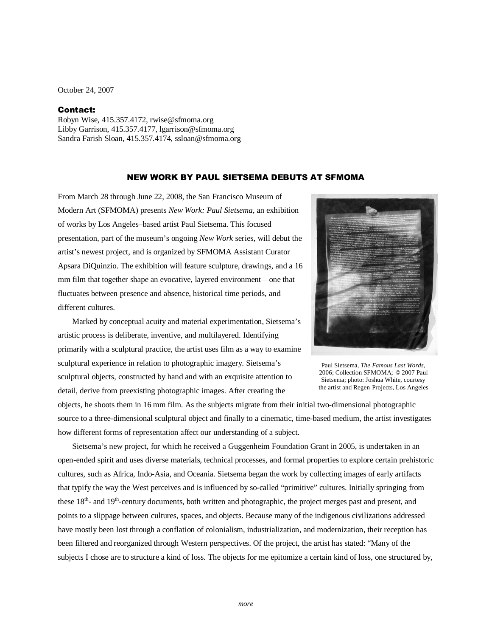October 24, 2007

## Contact:

Robyn Wise, 415.357.4172, rwise@sfmoma.org Libby Garrison, 415.357.4177, lgarrison@sfmoma.org Sandra Farish Sloan, 415.357.4174, ssloan@sfmoma.org

## NEW WORK BY PAUL SIETSEMA DEBUTS AT SFMOMA

From March 28 through June 22, 2008, the San Francisco Museum of Modern Art (SFMOMA) presents *New Work: Paul Sietsema*, an exhibition of works by Los Angeles–based artist Paul Sietsema. This focused presentation, part of the museum's ongoing *New Work* series, will debut the artist's newest project, and is organized by SFMOMA Assistant Curator Apsara DiQuinzio. The exhibition will feature sculpture, drawings, and a 16 mm film that together shape an evocative, layered environment—one that fluctuates between presence and absence, historical time periods, and different cultures.

Marked by conceptual acuity and material experimentation, Sietsema's artistic process is deliberate, inventive, and multilayered. Identifying primarily with a sculptural practice, the artist uses film as a way to examine sculptural experience in relation to photographic imagery. Sietsema's sculptural objects, constructed by hand and with an exquisite attention to detail, derive from preexisting photographic images. After creating the



Paul Sietsema, *The Famous Last Words*, 2006; Collection SFMOMA; © 2007 Paul Sietsema; photo: Joshua White, courtesy the artist and Regen Projects, Los Angeles

objects, he shoots them in 16 mm film. As the subjects migrate from their initial two-dimensional photographic source to a three-dimensional sculptural object and finally to a cinematic, time-based medium, the artist investigates how different forms of representation affect our understanding of a subject.

Sietsema's new project, for which he received a Guggenheim Foundation Grant in 2005, is undertaken in an open-ended spirit and uses diverse materials, technical processes, and formal properties to explore certain prehistoric cultures, such as Africa, Indo-Asia, and Oceania. Sietsema began the work by collecting images of early artifacts that typify the way the West perceives and is influenced by so-called "primitive" cultures. Initially springing from these 18<sup>th</sup>- and 19<sup>th</sup>-century documents, both written and photographic, the project merges past and present, and points to a slippage between cultures, spaces, and objects. Because many of the indigenous civilizations addressed have mostly been lost through a conflation of colonialism, industrialization, and modernization, their reception has been filtered and reorganized through Western perspectives. Of the project, the artist has stated: "Many of the subjects I chose are to structure a kind of loss. The objects for me epitomize a certain kind of loss, one structured by,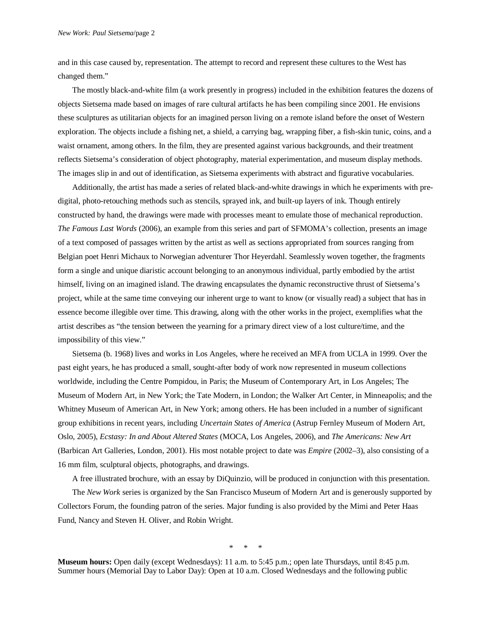and in this case caused by, representation. The attempt to record and represent these cultures to the West has changed them."

The mostly black-and-white film (a work presently in progress) included in the exhibition features the dozens of objects Sietsema made based on images of rare cultural artifacts he has been compiling since 2001. He envisions these sculptures as utilitarian objects for an imagined person living on a remote island before the onset of Western exploration. The objects include a fishing net, a shield, a carrying bag, wrapping fiber, a fish-skin tunic, coins, and a waist ornament, among others. In the film, they are presented against various backgrounds, and their treatment reflects Sietsema's consideration of object photography, material experimentation, and museum display methods. The images slip in and out of identification, as Sietsema experiments with abstract and figurative vocabularies.

Additionally, the artist has made a series of related black-and-white drawings in which he experiments with predigital, photo-retouching methods such as stencils, sprayed ink, and built-up layers of ink. Though entirely constructed by hand, the drawings were made with processes meant to emulate those of mechanical reproduction. *The Famous Last Words* (2006), an example from this series and part of SFMOMA's collection, presents an image of a text composed of passages written by the artist as well as sections appropriated from sources ranging from Belgian poet Henri Michaux to Norwegian adventurer Thor Heyerdahl. Seamlessly woven together, the fragments form a single and unique diaristic account belonging to an anonymous individual, partly embodied by the artist himself, living on an imagined island. The drawing encapsulates the dynamic reconstructive thrust of Sietsema's project, while at the same time conveying our inherent urge to want to know (or visually read) a subject that has in essence become illegible over time. This drawing, along with the other works in the project, exemplifies what the artist describes as "the tension between the yearning for a primary direct view of a lost culture/time, and the impossibility of this view."

Sietsema (b. 1968) lives and works in Los Angeles, where he received an MFA from UCLA in 1999. Over the past eight years, he has produced a small, sought-after body of work now represented in museum collections worldwide, including the Centre Pompidou, in Paris; the Museum of Contemporary Art, in Los Angeles; The Museum of Modern Art, in New York; the Tate Modern, in London; the Walker Art Center, in Minneapolis; and the Whitney Museum of American Art, in New York; among others. He has been included in a number of significant group exhibitions in recent years, including *Uncertain States of America* (Astrup Fernley Museum of Modern Art, Oslo, 2005), *Ecstasy: In and About Altered States* (MOCA, Los Angeles, 2006), and *The Americans: New Art* (Barbican Art Galleries, London, 2001). His most notable project to date was *Empire* (2002–3), also consisting of a 16 mm film, sculptural objects, photographs, and drawings.

A free illustrated brochure, with an essay by DiQuinzio, will be produced in conjunction with this presentation.

The *New Work* series is organized by the San Francisco Museum of Modern Art and is generously supported by Collectors Forum, the founding patron of the series. Major funding is also provided by the Mimi and Peter Haas Fund, Nancy and Steven H. Oliver, and Robin Wright.

\* \* \*

**Museum hours:** Open daily (except Wednesdays): 11 a.m. to 5:45 p.m.; open late Thursdays, until 8:45 p.m. Summer hours (Memorial Day to Labor Day): Open at 10 a.m. Closed Wednesdays and the following public